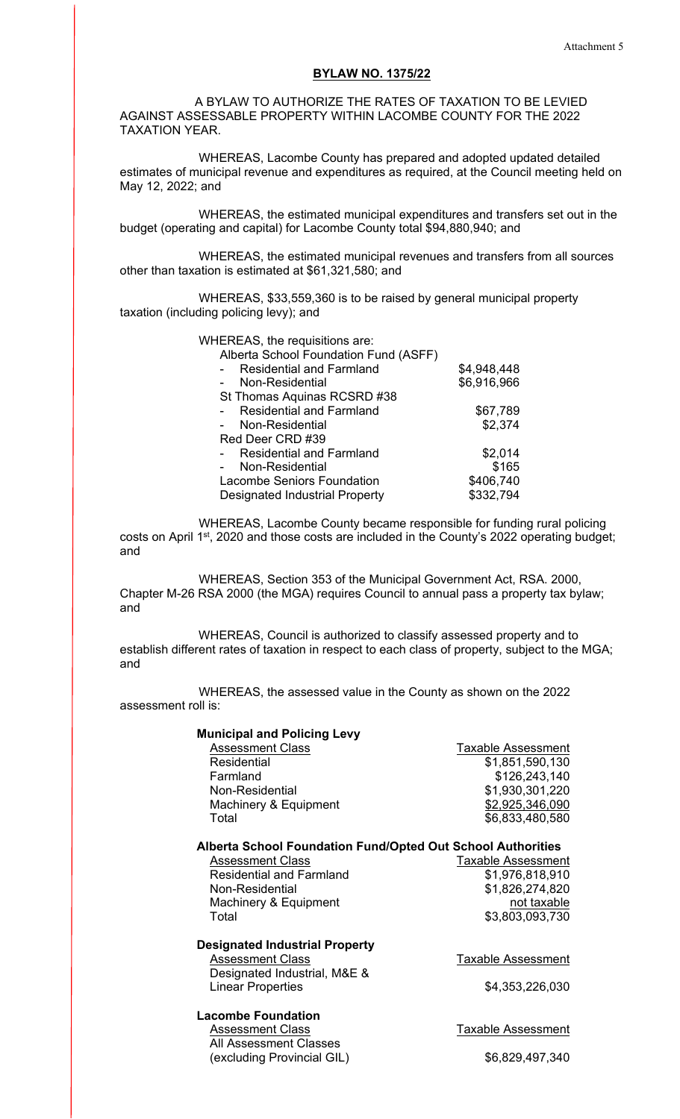# **BYLAW NO. 1375/22**

 A BYLAW TO AUTHORIZE THE RATES OF TAXATION TO BE LEVIED AGAINST ASSESSABLE PROPERTY WITHIN LACOMBE COUNTY FOR THE 2022 TAXATION YEAR.

 WHEREAS, Lacombe County has prepared and adopted updated detailed estimates of municipal revenue and expenditures as required, at the Council meeting held on May 12, 2022; and

 WHEREAS, the estimated municipal expenditures and transfers set out in the budget (operating and capital) for Lacombe County total \$94,880,940; and

 WHEREAS, the estimated municipal revenues and transfers from all sources other than taxation is estimated at \$61,321,580; and

 WHEREAS, \$33,559,360 is to be raised by general municipal property taxation (including policing levy); and

WHEREAS, the requisitions are:

| Alberta School Foundation Fund (ASFF) |             |
|---------------------------------------|-------------|
| <b>Residential and Farmland</b>       | \$4,948,448 |
| Non-Residential                       | \$6,916,966 |
| St Thomas Aquinas RCSRD #38           |             |
| <b>Residential and Farmland</b>       | \$67,789    |
| Non-Residential                       | \$2,374     |
| Red Deer CRD #39                      |             |
| <b>Residential and Farmland</b>       | \$2,014     |
| Non-Residential                       | \$165       |
| <b>Lacombe Seniors Foundation</b>     | \$406,740   |
| <b>Designated Industrial Property</b> | \$332,794   |
|                                       |             |

 WHEREAS, Lacombe County became responsible for funding rural policing costs on April 1st, 2020 and those costs are included in the County's 2022 operating budget; and

 WHEREAS, Section 353 of the Municipal Government Act, RSA. 2000, Chapter M-26 RSA 2000 (the MGA) requires Council to annual pass a property tax bylaw; and

WHEREAS, Council is authorized to classify assessed property and to establish different rates of taxation in respect to each class of property, subject to the MGA; and

 WHEREAS, the assessed value in the County as shown on the 2022 assessment roll is:

| <b>Municipal and Policing Levy</b>                                 |                           |  |  |  |
|--------------------------------------------------------------------|---------------------------|--|--|--|
| <b>Assessment Class</b>                                            | <b>Taxable Assessment</b> |  |  |  |
| Residential                                                        | \$1,851,590,130           |  |  |  |
| Farmland                                                           | \$126,243,140             |  |  |  |
| Non-Residential                                                    | \$1,930,301,220           |  |  |  |
| Machinery & Equipment                                              | \$2,925,346,090           |  |  |  |
| Total                                                              | \$6,833,480,580           |  |  |  |
| <b>Alberta School Foundation Fund/Opted Out School Authorities</b> |                           |  |  |  |
| <b>Assessment Class</b>                                            | <b>Taxable Assessment</b> |  |  |  |
| <b>Residential and Farmland</b>                                    | \$1,976,818,910           |  |  |  |
| Non-Residential                                                    | \$1,826,274,820           |  |  |  |
| Machinery & Equipment                                              | not taxable               |  |  |  |
| Total                                                              | \$3,803,093,730           |  |  |  |
| <b>Designated Industrial Property</b>                              |                           |  |  |  |
| <b>Assessment Class</b>                                            | <b>Taxable Assessment</b> |  |  |  |
| Designated Industrial, M&E &                                       |                           |  |  |  |
| <b>Linear Properties</b>                                           | \$4,353,226,030           |  |  |  |
| <b>Lacombe Foundation</b>                                          |                           |  |  |  |
| <b>Assessment Class</b>                                            | Taxable Assessment        |  |  |  |
| <b>All Assessment Classes</b>                                      |                           |  |  |  |
| (excluding Provincial GIL)                                         | \$6,829,497,340           |  |  |  |
|                                                                    |                           |  |  |  |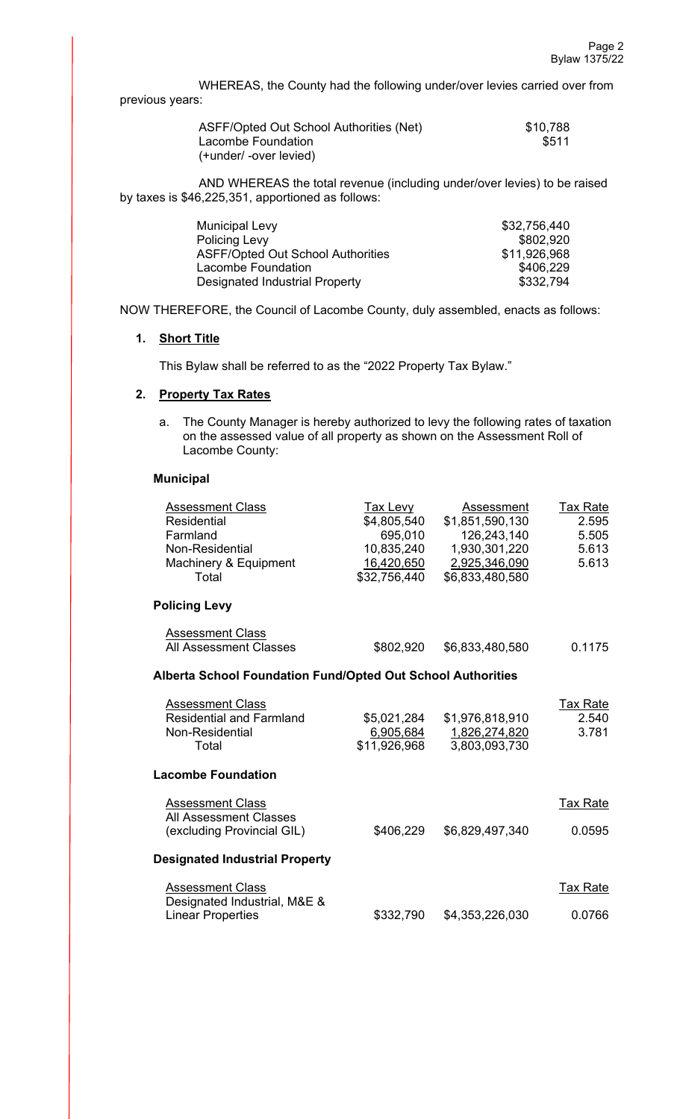WHEREAS, the County had the following under/over levies carried over from previous years:

| ASFF/Opted Out School Authorities (Net) | \$10,788 |
|-----------------------------------------|----------|
| Lacombe Foundation                      | \$511    |
| (+under/ -over levied)                  |          |

 AND WHEREAS the total revenue (including under/over levies) to be raised by taxes is \$46,225,351, apportioned as follows:

| <b>Municipal Levy</b>                    | \$32,756,440 |
|------------------------------------------|--------------|
| <b>Policing Levy</b>                     | \$802.920    |
| <b>ASFF/Opted Out School Authorities</b> | \$11,926,968 |
| Lacombe Foundation                       | \$406.229    |
| Designated Industrial Property           | \$332.794    |

NOW THEREFORE, the Council of Lacombe County, duly assembled, enacts as follows:

#### **1. Short Title**

This Bylaw shall be referred to as the "2022 Property Tax Bylaw."

# **2. Property Tax Rates**

a. The County Manager is hereby authorized to levy the following rates of taxation on the assessed value of all property as shown on the Assessment Roll of Lacombe County:

# **Municipal**

| <b>Assessment Class</b><br><b>Residential</b><br>Farmland<br>Non-Residential<br>Machinery & Equipment<br>Total | Tax Levy<br>\$4,805,540<br>695,010<br>10,835,240<br><u>16,420,650</u><br>\$32,756,440 | Assessment<br>\$1,851,590,130<br>126,243,140<br>1,930,301,220<br>2,925,346,090<br>\$6,833,480,580 | Tax Rate<br>2.595<br>5.505<br>5.613<br>5.613 |  |
|----------------------------------------------------------------------------------------------------------------|---------------------------------------------------------------------------------------|---------------------------------------------------------------------------------------------------|----------------------------------------------|--|
| <b>Policing Levy</b>                                                                                           |                                                                                       |                                                                                                   |                                              |  |
| <b>Assessment Class</b><br><b>All Assessment Classes</b>                                                       | \$802,920                                                                             | \$6,833,480,580                                                                                   | 0.1175                                       |  |
| <b>Alberta School Foundation Fund/Opted Out School Authorities</b>                                             |                                                                                       |                                                                                                   |                                              |  |
| <b>Assessment Class</b><br><b>Residential and Farmland</b><br>Non-Residential<br>Total                         | \$5,021,284<br>6,905,684<br>\$11,926,968                                              | \$1,976,818,910<br>1,826,274,820<br>3,803,093,730                                                 | Tax Rate<br>2.540<br>3.781                   |  |
| <b>Lacombe Foundation</b>                                                                                      |                                                                                       |                                                                                                   |                                              |  |
| <b>Assessment Class</b><br><b>All Assessment Classes</b><br>(excluding Provincial GIL)                         | \$406,229                                                                             | \$6,829,497,340                                                                                   | <b>Tax Rate</b><br>0.0595                    |  |
| <b>Designated Industrial Property</b>                                                                          |                                                                                       |                                                                                                   |                                              |  |
| <b>Assessment Class</b>                                                                                        |                                                                                       |                                                                                                   | <b>Tax Rate</b>                              |  |
| Designated Industrial, M&E &<br><b>Linear Properties</b>                                                       | \$332,790                                                                             | \$4,353,226,030                                                                                   | 0.0766                                       |  |